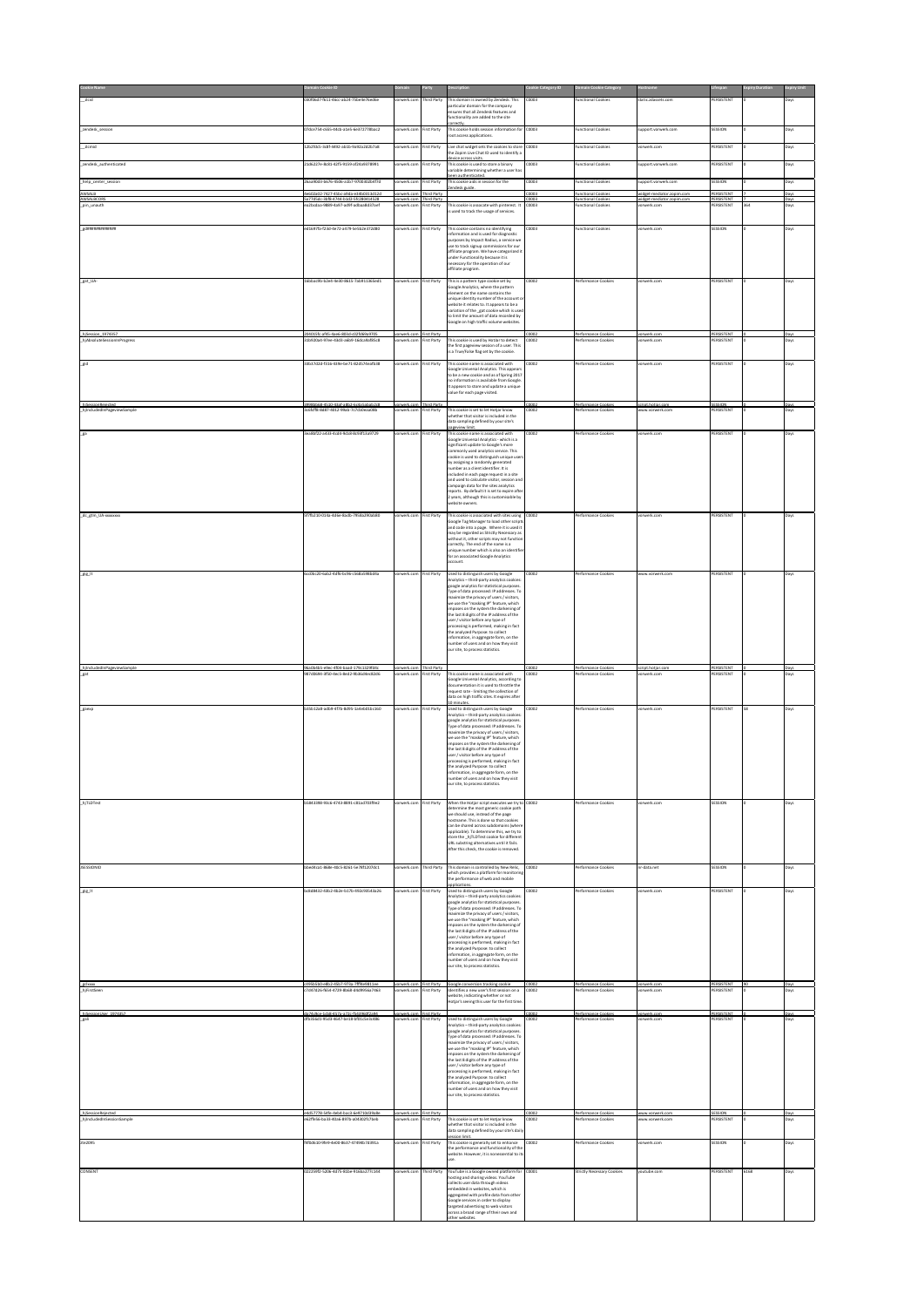| zicid                                            | 30f06d7-f611-46cc-ab24-75be4e76ed6e                                          | orwerk.com                            | hird Party                       | This domain is owned by Zendesk. This<br>articular domain for the company                                                            | 0003          | unctional Cookies                              | tatic.zdassets.com                                    | PERSISTENT                    |      | Days         |
|--------------------------------------------------|------------------------------------------------------------------------------|---------------------------------------|----------------------------------|--------------------------------------------------------------------------------------------------------------------------------------|---------------|------------------------------------------------|-------------------------------------------------------|-------------------------------|------|--------------|
|                                                  |                                                                              |                                       |                                  | ensures that all Zendesk features and<br>unctionality are added to the site                                                          |               |                                                |                                                       |                               |      |              |
| zendesk_session                                  | 07dce754<655-44cb-a1e5-6e372778bac2                                          | vorwerk.com                           | irst Party                       | orrectly.<br>This cookie holds session information for                                                                               | :0003         | unctional Cookies                              | support.vorwerk.com                                   | SESSION                       |      | Days         |
|                                                  |                                                                              |                                       |                                  | root access applications.                                                                                                            |               |                                                |                                                       |                               |      |              |
| zlomid                                           | 12b2fdc5-3c8f-4492-ab1b-9a92a2d2b7a8                                         | vorwerk.com                           | irst Party                       | Live chat widget sets the cookies to store<br>the Zopim Live Chat ID used to identify a                                              | 30003         | unctional Cookies                              | vorwerk.com                                           | PERSISTENT                    |      | Days         |
| zendesk_authenticated                            | 1d6227e-8c81-42f5-9159-af24a9378991                                          | rwerk.co                              | st Party                         | fevice across visits.<br>This cookie is used to store a binary                                                                       | 0003          | unctional Cookies                              | pport.vorwerk.com                                     | <b>ERSISTENT</b>              |      | Jays         |
|                                                  |                                                                              |                                       |                                  | variable determining whether a user has<br>een authenticated.                                                                        |               |                                                |                                                       |                               |      |              |
| help_center_session                              | 26aa90d3-b676-4506-a1b7-9700302b4f7d                                         | rorwerk.com                           | irst Party                       | This cookie aids in session for the<br>endesk guide.                                                                                 | 0003          | <b>Functional Cookies</b>                      | upport.vorwerk.com                                    | SESSION                       |      | Days         |
| AWSALB<br>AWSALBCORS                             | 4e602a02-7427-45bc-a9da-e34b0313d12d<br>5a77d5dc-3bf8-4744-b1d2-5fc280414528 | vorwerk.com Third Party<br>orwerk.com | <b>Third Party</b>               |                                                                                                                                      | C0003<br>0003 | <b>Functional Cookies</b><br>unctional Cookies | widget-mediator.zopim.com<br>vidget-mediator.zopim.co | PERSISTENT<br>PERSISTENT      |      | Days<br>Days |
| pin unauth                                       | ea2bcdaa-9889-4a97-ad9f-adbaa8d37aef                                         | prwerk.com                            | irst Party                       | This cookie is assocate with pinterest. It<br>sused to track the usage of services.                                                  | 10003         | unctional Cookies                              | orwerk.com                                            | <b>PERSISTENT</b>             |      | Days         |
|                                                  |                                                                              |                                       |                                  |                                                                                                                                      |               |                                                |                                                       |                               |      |              |
| edessarasseras                                   | ed1697fa-f23d-4e72-a479-5e5b2e372d80                                         | orwerk.com                            | irst Party                       | This cookie contains no identifying<br>nformation and is used for diagnostic                                                         | 0003          | <b>Functional Cookies</b>                      | orwerk.com                                            | SESSION                       |      | Days         |
|                                                  |                                                                              |                                       |                                  | .<br>purposes by Impact Radius, a service we<br>use to track signup commissions for our<br>affiliate program. We have categorized it |               |                                                |                                                       |                               |      |              |
|                                                  |                                                                              |                                       |                                  | nder Functionality because it is<br>necessary for the operation of our                                                               |               |                                                |                                                       |                               |      |              |
|                                                  |                                                                              |                                       |                                  | affiliate program.                                                                                                                   |               |                                                |                                                       |                               |      |              |
| gat_UA                                           | 16bbac9b-b2e4-4e30-8615-7ab911365ed1                                         | vorwerk.com                           | irst Party                       | This is a pattern type cookie set by<br><b>Google Analytics, where the pattern</b>                                                   | 0002          | erformance Cookies                             | orwerk.com                                            | PERSISTENT                    |      | Days         |
|                                                  |                                                                              |                                       |                                  | element on the name contains the<br>inique identity number of the account                                                            |               |                                                |                                                       |                               |      |              |
|                                                  |                                                                              |                                       |                                  | website it relates to. It appears to be a<br>variation of the _gat cookie which is use                                               |               |                                                |                                                       |                               |      |              |
|                                                  |                                                                              |                                       |                                  | to limit the amount of data recorded by<br>Google on high traffic volume websites.                                                   |               |                                                |                                                       |                               |      |              |
| hiSession 1974357<br>hjAbsoluteSessionInProgress | 204015fc-af45-4ae6-803d-c02fd69a9705                                         |                                       | irst Part                        |                                                                                                                                      |               | erformance Cook                                |                                                       | PERSISTENT                    |      |              |
|                                                  | 31b920a4-97ee-43d3-a6b9-16dca9af85c8                                         | rwerk.com                             | irst Party                       | This cookie is used by Hotlar to detect<br>the first pageview session of a user. This                                                | 0002          | erformance Cookies                             | orwerk.com                                            | PERSISTENT                    |      | Davs         |
|                                                  |                                                                              |                                       |                                  | is a True/False flag set by the cookie.                                                                                              |               |                                                |                                                       |                               |      |              |
| gid                                              | 33b37d2d-f316-439e-be71-82d574eafb38                                         | vorwerk.com                           | irst Party                       | This cookie name is associated with<br>Soogle Universal Analytics. This appear<br>to be a new cookie and as of Spring 2017           | 0002          | erformance Cookies                             | orwerk.com                                            | PERSISTENT                    |      | Days         |
|                                                  |                                                                              |                                       |                                  | o information is available from Google<br>It appears to store and update a unique                                                    |               |                                                |                                                       |                               |      |              |
|                                                  |                                                                              |                                       |                                  | alue for each page visited.                                                                                                          |               |                                                |                                                       |                               |      |              |
| SessionRejecter<br>(IncludedInPageviewSample     | 3998bb68-4510-43af-a8b2-6c4a5abab2c8<br>3c6fcff8-8d87-4012-99ab-7c7cb0eaa08b | vorwerk.c<br>prwerk.com               | <b>Third Party</b><br>irst Party | This cookie is set to let Hotjar know                                                                                                | 10002<br>0002 | Performance Cooki<br>erformance Cookies        | script.hotiar.co<br>ww.vorwerk.com                    | S <u>ESSION</u><br>PERSISTENT |      | Days         |
|                                                  |                                                                              |                                       |                                  | whether that visitor is included in the<br>data sampling defined by your site's                                                      |               |                                                |                                                       |                               |      |              |
| .ga                                              | 3ea8hf22-a433-4cd4-9ch8-8c93f13a9729                                         | orwerk.com                            | irst Party                       | ageview limit.<br>This cookie name is associated with                                                                                | 0002          | Performance Cookies                            | orwerk.com                                            | PERSISTENT                    |      | Days         |
|                                                  |                                                                              |                                       |                                  | Google Universal Analytics - which is a<br>significant update to Google's more                                                       |               |                                                |                                                       |                               |      |              |
|                                                  |                                                                              |                                       |                                  | ommonly used analytics service. This<br>makie is used to distinguish unique use<br>by assigning a randomly generated                 |               |                                                |                                                       |                               |      |              |
|                                                  |                                                                              |                                       |                                  | number as a client identifier. It is                                                                                                 |               |                                                |                                                       |                               |      |              |
|                                                  |                                                                              |                                       |                                  | included in each page request in a site<br>and used to calculate visitor, session and<br>campaign data for the sites analytics       |               |                                                |                                                       |                               |      |              |
|                                                  |                                                                              |                                       |                                  | reports. By default it is set to expire afte                                                                                         |               |                                                |                                                       |                               |      |              |
|                                                  |                                                                              |                                       |                                  | years, although this is customisable by<br>vebsite owners.                                                                           |               |                                                |                                                       |                               |      |              |
| _dc_gtm_UA-xxxxxxx                               | 5f7fb210-014a-4d6e-8adb-7958a290ab80                                         | vorwerk.com First Party               |                                  | This cookie is associated with sites using<br>Google Tag Manager to load other script                                                | 0002          | Performance Cookies                            | vorwerk.com                                           | PERSISTENT                    |      | Days         |
|                                                  |                                                                              |                                       |                                  | and code into a page. Where it is used it<br>may be regarded as Strictly Necessary as                                                |               |                                                |                                                       |                               |      |              |
|                                                  |                                                                              |                                       |                                  | without it, other scripts may not functio<br>correctly. The end of the name is a                                                     |               |                                                |                                                       |                               |      |              |
|                                                  |                                                                              |                                       |                                  | nique number which is also an identif<br>for an associated Google Analytics                                                          |               |                                                |                                                       |                               |      |              |
|                                                  |                                                                              |                                       |                                  | account.                                                                                                                             |               |                                                |                                                       |                               |      |              |
| _gig_lt                                          | icc0bc20-6ab2-4df6-bc96-c568a598bd4a                                         | rwerk.com                             | rst Party                        | Jsed to distinguish users by Google<br>Analytics - third-party analytics cookies:                                                    |               | erformance Cookies                             | ww.vorwerk.com                                        | ERSISTENT                     |      |              |
|                                                  |                                                                              |                                       |                                  | google analytics for statistical purposes.<br>Type of data processed: IP addresses. To                                               |               |                                                |                                                       |                               |      |              |
|                                                  |                                                                              |                                       |                                  | naximize the privacy of users / visitors,<br>we use the "masking IP" feature, which                                                  |               |                                                |                                                       |                               |      |              |
|                                                  |                                                                              |                                       |                                  | mposes on the system the darkening of<br>the last 8 digits of the IP address of the                                                  |               |                                                |                                                       |                               |      |              |
|                                                  |                                                                              |                                       |                                  | user / visitor before any type of<br>processing is performed, making in fact<br>the analyzed Purpose: to collect                     |               |                                                |                                                       |                               |      |              |
|                                                  |                                                                              |                                       |                                  | nformation, in aggregate form, on the<br>umber of users and on how they visit                                                        |               |                                                |                                                       |                               |      |              |
|                                                  |                                                                              |                                       |                                  | our site, to process statistics.                                                                                                     |               |                                                |                                                       |                               |      |              |
|                                                  | 0b4b5-e9ec-4f04-baad-179c1329fd4                                             | vorwerk.co                            | Third Party                      |                                                                                                                                      | :000          | Performance Cookis                             | script.hotiar.                                        | PERSISTENT                    |      | Days         |
| gat                                              | 987d0694-3f50-4ec5-8ed2-9b36d4ec82d6                                         | orwerk.com                            | First Party                      | This cookie name is associated with<br><b>Google Universal Analytics, according to</b>                                               | 0002          | erformance Cookies                             | orwerk.com                                            | PERSISTENT                    |      | Days         |
|                                                  |                                                                              |                                       |                                  | focumentation it is used to throttle the<br>equest rate - limiting the collection of                                                 |               |                                                |                                                       |                               |      |              |
|                                                  |                                                                              |                                       |                                  | data on high traffic sites. It expires after<br>10 minutes.                                                                          |               |                                                |                                                       |                               |      |              |
| gaexp                                            | b35b12a8-adb9-4f7b-8d95-1a4eb01bc160                                         | vorwerk.com First Party               |                                  | Used to distinguish users by Google<br>Analytics - third-party analytics cookies                                                     | 0002          | Performance Cookies                            | vorwerk.com                                           | PERSISTENT                    | 58   | Days         |
|                                                  |                                                                              |                                       |                                  | pogle analytics for statistical purposes.<br>Type of data processed: IP addresses. To                                                |               |                                                |                                                       |                               |      |              |
|                                                  |                                                                              |                                       |                                  | naximize the privacy of users / visitors,<br>we use the "masking IP" feature, which<br>mnoses on the system the darkening of         |               |                                                |                                                       |                               |      |              |
|                                                  |                                                                              |                                       |                                  | the last 8 digits of the IP address of the<br>user / visitor before any type of                                                      |               |                                                |                                                       |                               |      |              |
|                                                  |                                                                              |                                       |                                  | processing is performed, making in fact<br>the analyzed Purpose: to collect                                                          |               |                                                |                                                       |                               |      |              |
|                                                  |                                                                              |                                       |                                  | nformation, in aggregate form, on the<br>mher of user                                                                                |               |                                                |                                                       |                               |      |              |
|                                                  |                                                                              |                                       |                                  | our site, to process statistics.                                                                                                     |               |                                                |                                                       |                               |      |              |
| hjTLDTest                                        | 5843398-93c6-4743-8891-c81ad703f9e2                                          | prwerk.com                            | irst Party                       | When the Hotjar script executes we try to C0002                                                                                      |               | erformance Cookies                             | rwerk.com                                             | SESSION                       |      | Days         |
|                                                  |                                                                              |                                       |                                  | letermine the most generic cookie patl<br>we should use, instead of the page                                                         |               |                                                |                                                       |                               |      |              |
|                                                  |                                                                              |                                       |                                  | hostname. This is done so that cookies<br>can be shared across subdomains (when                                                      |               |                                                |                                                       |                               |      |              |
|                                                  |                                                                              |                                       |                                  | applicable). To determine this, we try to<br>store the _hjTLDTest cookie for different<br>URL substring alternatives until it fails. |               |                                                |                                                       |                               |      |              |
|                                                  |                                                                              |                                       |                                  | After this check, the cookie is removed.                                                                                             |               |                                                |                                                       |                               |      |              |
| <b>JSESSIONID</b>                                | bbed4ca1-868e-40c5-8261-5e78f1207dc1                                         | vorwerk.com                           | <b>Third Party</b>               | This domain is controlled by New Relic                                                                                               | C0002         | Performance Cookies                            | nr-data.net                                           | SESSION                       |      | Days         |
|                                                  |                                                                              |                                       |                                  | which provides a platform for monitoring<br>the performance of web and mobile                                                        |               |                                                |                                                       |                               |      |              |
| _gig_lt                                          | bc8d8432-43b2-4b2e-b17b-492c93543a26                                         | orwerk.com                            | <b>First Party</b>               | pplications.<br>Used to distinguish users by Google                                                                                  | $\frac{1}{2}$ | Performance Cookies                            | orwerk.com                                            | PERSISTENT                    |      | Days         |
|                                                  |                                                                              |                                       |                                  | Analytics - third-party analytics cookies<br>google analytics for statistical purposes                                               |               |                                                |                                                       |                               |      |              |
|                                                  |                                                                              |                                       |                                  | Type of data processed: IP addresses. To<br>naximize the privacy of users / visitors.<br>we use the "masking IP" feature, which      |               |                                                |                                                       |                               |      |              |
|                                                  |                                                                              |                                       |                                  | imposes on the system the darkening of                                                                                               |               |                                                |                                                       |                               |      |              |
|                                                  |                                                                              |                                       |                                  | the last 8 digits of the IP address of the<br>user / visitor before any type of                                                      |               |                                                |                                                       |                               |      |              |
|                                                  |                                                                              |                                       |                                  | processing is performed, making in fact<br>the analyzed Purpose: to collect<br>nformation, in aggregate form, on the                 |               |                                                |                                                       |                               |      |              |
|                                                  |                                                                              |                                       |                                  | umber of users and on how they visit<br>our site, to process statistics.                                                             |               |                                                |                                                       |                               |      |              |
|                                                  |                                                                              |                                       |                                  |                                                                                                                                      |               |                                                |                                                       |                               |      |              |
| rdsoog<br>hiFirstSeen                            | 45b7-973a-7fff4e9811e<br>c7d47d26-f654-4729-8b68-d4d9956a7463                | orwerk.com                            | irst Party                       | ersion tracking o<br>Identifies a new user's first session on a                                                                      | C0002         | erformance Cookies                             | orwerk.com                                            | PERSISTEN<br>PERSISTENT       |      | Days         |
|                                                  |                                                                              |                                       |                                  | vebsite, indicating whether or not<br>Hotjar's seeing this user for the first tim                                                    |               |                                                |                                                       |                               |      |              |
| hiSessionUser 1974357                            | da74c9ce-1cb8-457a-a72c-f543960f2a94                                         | vorwerk.com First Party               |                                  |                                                                                                                                      | C0002         | Performance Cookies                            | vorwerk.com                                           | PERSISTENT                    |      | Days         |
| gali                                             | fb356d1-95d3-4647-be18-bf01c5e3c486                                          |                                       | irst Party                       | Used to distinguish users by Google<br>Analytics - third-party analytics cookies<br>google analytics for statistical purposes.       | :000          | rformance Cookie                               | werk.com                                              | <b>ERSISTENT</b>              |      | Days         |
|                                                  |                                                                              |                                       |                                  | Type of data processed: IP addresses. To<br>naximize the privacy of users / visitors,                                                |               |                                                |                                                       |                               |      |              |
|                                                  |                                                                              |                                       |                                  | we use the "masking IP" feature, which<br>mposes on the system the darkening of                                                      |               |                                                |                                                       |                               |      |              |
|                                                  |                                                                              |                                       |                                  | the last 8 digits of the IP address of the<br>user / visitor before any type of                                                      |               |                                                |                                                       |                               |      |              |
|                                                  |                                                                              |                                       |                                  | processing is performed, making in fact<br>the analyzed Purpose: to collect                                                          |               |                                                |                                                       |                               |      |              |
|                                                  |                                                                              |                                       |                                  | information, in aggregate form, on the<br>umber of users and on how they visit                                                       |               |                                                |                                                       |                               |      |              |
|                                                  |                                                                              |                                       |                                  | our site, to process statistics.                                                                                                     |               |                                                |                                                       |                               |      |              |
| hjSessionRejected<br>ilncludedInSessionSample    | e4d57778-54fe-4eb4-bac3-6e9710d39a8e<br>162ffe56-ba33-40a6-897b-a04302fc7beb | vorwerk.com First Party<br>prwerk.com |                                  |                                                                                                                                      | C0002<br>0002 | Performance Cookie<br>erformance Cookie        | www.vorwerk.com<br>nv.vorwerk.cor                     | SESSION<br>PERSISTENT         |      | Days         |
|                                                  |                                                                              |                                       | First Party                      | This cookie is set to let Hotjar know<br>whether that visitor is included in the<br>data sampling defined by your site's dai         |               |                                                |                                                       |                               |      |              |
| zte2095                                          | f4f0d610-9fe9-4e00-8637-47494b7d391a                                         | orwerk.com                            | rst Party                        | ession limit.<br>This cookie is generally set to enhance                                                                             | 0002          | erformance Cookies                             | orwerk.com                                            | SESSION                       |      | Days         |
|                                                  |                                                                              |                                       |                                  | the performance and functionality of the<br>vebsite. However, it is nonessential to it                                               |               |                                                |                                                       |                               |      |              |
|                                                  |                                                                              |                                       |                                  | se.                                                                                                                                  |               |                                                |                                                       |                               |      |              |
| CONSENT                                          | 022259f2-5206-4d75-81be-916ba277c144                                         | orwerk.com                            | hird Party                       | YouTube is a Google owned platform for<br>osting and sharing videos. YouTube                                                         | 0001          | Strictly Necessary Cookies                     | outube.com                                            | PERSISTENT                    | 6168 | Days         |
|                                                  |                                                                              |                                       |                                  | collects user data through videos<br>mbedded in websites, which is                                                                   |               |                                                |                                                       |                               |      |              |
|                                                  |                                                                              |                                       |                                  | aggregated with profile data from other<br>Soogle services in order to display                                                       |               |                                                |                                                       |                               |      |              |
|                                                  |                                                                              |                                       |                                  | targeted advertising to web visitors<br>cross a broad range of their own and<br>er websites                                          |               |                                                |                                                       |                               |      |              |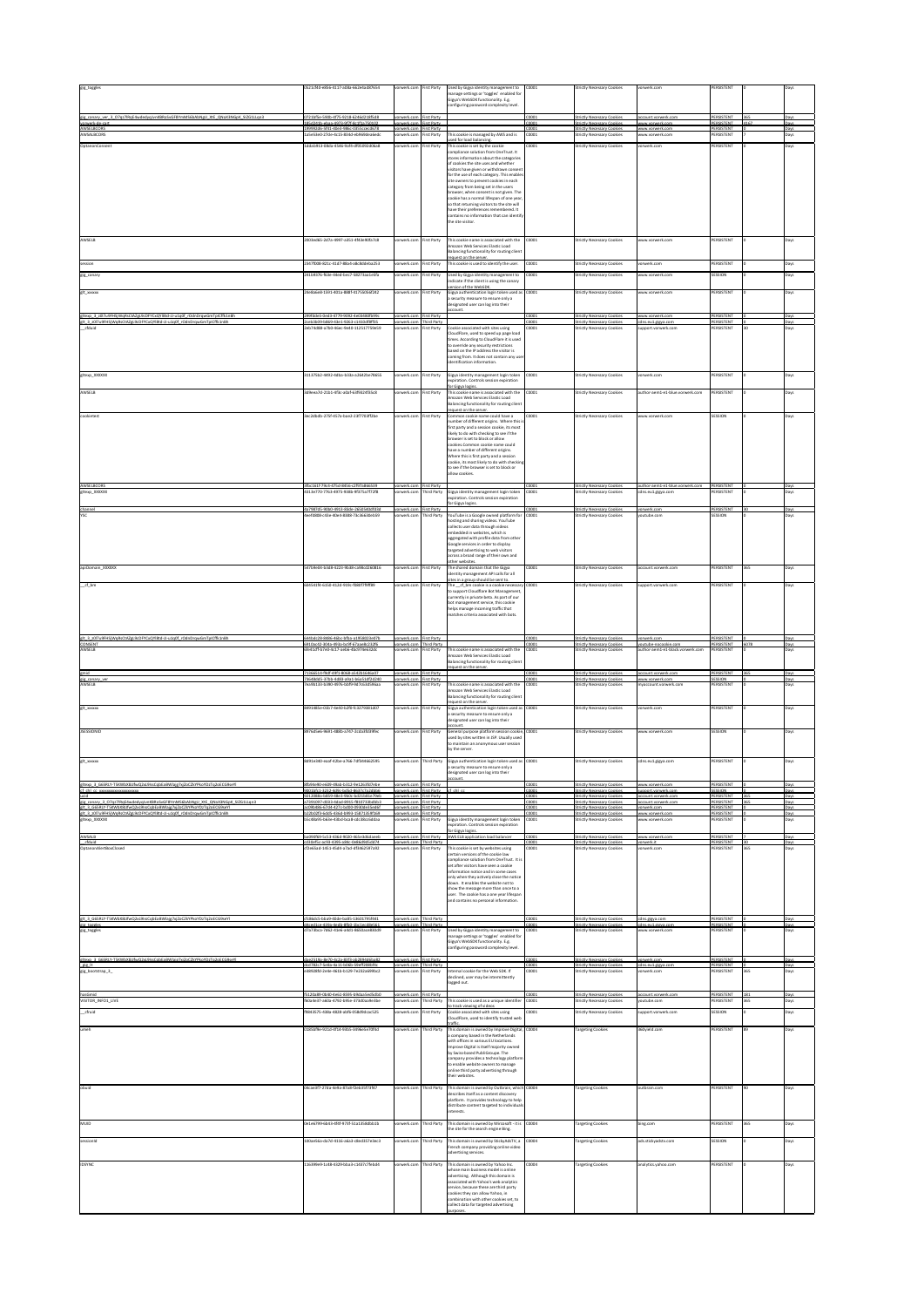|                                                                                                                                                                                                                                        | 521cf40-e856-4117-a08a-662e4ad87654                                                                                | vorwerk.com                                       | irst Party                         | Used by Gigya identity management to<br>manage settings or 'toggles' enabled for                                                | 0001          | Strictly Necessary Cookies                                                          | vorwerk.com                                             | PERSISTENT                             |     | Days                |
|----------------------------------------------------------------------------------------------------------------------------------------------------------------------------------------------------------------------------------------|--------------------------------------------------------------------------------------------------------------------|---------------------------------------------------|------------------------------------|---------------------------------------------------------------------------------------------------------------------------------|---------------|-------------------------------------------------------------------------------------|---------------------------------------------------------|----------------------------------------|-----|---------------------|
|                                                                                                                                                                                                                                        |                                                                                                                    |                                                   |                                    | Gigya's WebSDK functionality. E.g.<br>infiguring password complexity level.                                                     |               |                                                                                     |                                                         |                                        |     |                     |
| gig canary ver 3 07qz7lRqE4wdedyqJvnKBRoSvGF81<br>vorwerk-de-cart                                                                                                                                                                      | 0721bf5e-590b-4f75-9218-6246d218f5d8<br>185d241b-ebaa-4973-9f7f-8c1f1a750102                                       | orwerk.com First Party                            | irst Party                         |                                                                                                                                 | 0001          | Strictly Necessary Cooki<br>Strictly Necessary Cookie                               | account.vorwerk.c<br>www.vorwerk.con                    | PERSISTEN<br>PERSISTENT                |     | Day<br>Dav          |
| AWSELBCORS<br>AWSALBCORS                                                                                                                                                                                                               | 199992d6-5f41-40e3-986c-0355ccecd678<br>a5e53e0-27de-4c15-834d-eb969dea6edc                                        | rwerk.co<br>rorwerk.com                           | <b>First Party</b><br>irst Party   | This cookie is managed by AWS and is                                                                                            | 0001          | Strictly Necessary Cook<br>Strictly Necessary Cookies                               | www.vorwerk.cor<br>www.vorwerk.com                      | PERSISTENT<br>PERSISTENT               |     | Days                |
| OptanonConsent                                                                                                                                                                                                                         | ddab913-08da-4546-9af4-df05092d06a8                                                                                | orwerk.con                                        | irst Party                         | ed for load balancing.<br>This cookie is set by the cookie                                                                      | 0001          | Strictly Necessary Cookies                                                          | vorwerk.com                                             | PERSISTENT                             |     | Days                |
|                                                                                                                                                                                                                                        |                                                                                                                    |                                                   |                                    | compliance solution from OneTrust. It<br>stores information about the categories                                                |               |                                                                                     |                                                         |                                        |     |                     |
|                                                                                                                                                                                                                                        |                                                                                                                    |                                                   |                                    | of cookies the site uses and whether<br>visitors have given or withdrawn conser                                                 |               |                                                                                     |                                                         |                                        |     |                     |
|                                                                                                                                                                                                                                        |                                                                                                                    |                                                   |                                    | for the use of each category. This enables<br>site owners to prevent cookies in each<br>category from being set in the users    |               |                                                                                     |                                                         |                                        |     |                     |
|                                                                                                                                                                                                                                        |                                                                                                                    |                                                   |                                    | browser, when consent is not given. The<br>cookie has a normal lifespan of one year                                             |               |                                                                                     |                                                         |                                        |     |                     |
|                                                                                                                                                                                                                                        |                                                                                                                    |                                                   |                                    | so that returning visitors to the site will<br>have their preferences remembered. It                                            |               |                                                                                     |                                                         |                                        |     |                     |
|                                                                                                                                                                                                                                        |                                                                                                                    |                                                   |                                    | contains no information that can identif<br>the site visitor.                                                                   |               |                                                                                     |                                                         |                                        |     |                     |
|                                                                                                                                                                                                                                        |                                                                                                                    |                                                   |                                    |                                                                                                                                 |               |                                                                                     |                                                         |                                        |     |                     |
| AWSELB                                                                                                                                                                                                                                 | 2003ed65-2d7a-4997-a351-4f43e90fa7c8                                                                               | vorwerk.com                                       | irst Party                         | This cookie name is associated with the<br>Amazon Web Services Elastic Load                                                     | :0001         | Strictly Necessary Cookies                                                          | www.vorwerk.com                                         | <b>PERSISTENT</b>                      |     | Days                |
|                                                                                                                                                                                                                                        | 2347f008-821c-41d7-88a4-a8c8ddeba253                                                                               | orwerk.co                                         |                                    | Balancing functionality for routing client<br>equest on the server.<br>This cookie is used to identify the user.                | 0001          | Strictly Necessary Cookies                                                          | vorwerk.com                                             | PERSISTENT                             |     |                     |
| session<br>gig_canary                                                                                                                                                                                                                  | 241b9376-f63e-44ed-bec7-58273aa1e5fa                                                                               | orwerk.co                                         | irst Party<br>irst Party           | Used by Gigya identity management to                                                                                            | 0001          | Strictly Necessary Cookies                                                          | www.vorwerk.com                                         | SESSION                                |     | Days<br>Days        |
|                                                                                                                                                                                                                                        |                                                                                                                    |                                                   |                                    | ndicate if the client is using the canary<br>on of the WebSDK.                                                                  |               |                                                                                     |                                                         |                                        |     |                     |
| git xxxxxx                                                                                                                                                                                                                             | 4e8a6e8-1591-401a-888f-41755056f242                                                                                | prwerk.cor                                        | irst Party                         | Gigya authentication login token used as<br>security measure to ensure only a                                                   | 0001          | Strictly Necessary Cookies                                                          | www.vorwerk.com                                         | <b>ERSISTENT</b>                       |     | Days                |
|                                                                                                                                                                                                                                        |                                                                                                                    |                                                   |                                    | designated user can log into their                                                                                              |               |                                                                                     |                                                         |                                        |     |                     |
| eltexo 3_z0l7u9FHS/WoRsCtAZeL9cDFYCxOYl8td-JJ-u1o0f rOdnDrowGmTolCffk1nB<br>elt 3 :0l7u9FHSiWoRsCtAZeL9cDFYCxQYI8td-JJ-u1o0f rOdnDrowGmTolCffk1nB                                                                                      | 299fdde5-0ed3-4779-9092-4e03480fb99c<br>ceb3b09-b869-43e1-9263-c1410df8ff3                                         | vorwerk.co                                        | irst Party<br>werk.com Third Party |                                                                                                                                 | 0001          | Strictly Necessary Cookies<br>Strictly Necessary Cook                               | www.vorwerk.com                                         | PERSISTENT<br>PERSISTEN                |     | Days                |
| cfduid                                                                                                                                                                                                                                 | eb74d88-a7b0-46ec-9e40-112517759e59                                                                                | prwerk.com                                        | irst Party                         | Cookie associated with sites using<br><b>IoudFlare, used to speed up page load</b><br>times. According to CloudFlare it is used | 0001          | Strictly Necessary Cookies                                                          | upport.vorwerk.com                                      | <b>ERSISTENT</b>                       |     | Days                |
|                                                                                                                                                                                                                                        |                                                                                                                    |                                                   |                                    | o override any security restrictions<br>based on the IP address the visitor is                                                  |               |                                                                                     |                                                         |                                        |     |                     |
|                                                                                                                                                                                                                                        |                                                                                                                    |                                                   |                                    | oming from. It does not contain any us<br>dentification information.                                                            |               |                                                                                     |                                                         |                                        |     |                     |
| gitexp_XXXXXX                                                                                                                                                                                                                          | 311375b2-4492-4dba-b33a-a2642be78655                                                                               | ronwerk.com                                       | irst Party                         | Gigya identity management login token                                                                                           | 0001          | Strictly Necessary Cookies                                                          | vorwerk.com                                             | PERSISTENT                             |     | Days                |
|                                                                                                                                                                                                                                        |                                                                                                                    |                                                   |                                    | epiration. Controls session expiration<br>or Giava logins                                                                       |               |                                                                                     |                                                         |                                        |     |                     |
| AWSELB                                                                                                                                                                                                                                 | d9eea7d-21b1-4f3c-a0af-63f9324f35c8                                                                                | orwerk.co                                         | irst Party                         | This cookie name is associated with the<br>Amazon Web Services Flastic Load                                                     | 0001          | Strictly Necessary Cookies                                                          | uthor-aem1-e1-blue.vorwerk.com                          | PERSISTENT                             |     | Days                |
|                                                                                                                                                                                                                                        | lec2dbdb-275f-457a-bae2-23f7703ff2be                                                                               | orwerk.co                                         | irst Party                         | Balancing functionality for routing clier<br>equest on the server.                                                              | 0001          |                                                                                     |                                                         | ESSION                                 |     |                     |
| ookietest                                                                                                                                                                                                                              |                                                                                                                    |                                                   |                                    | Common cookie name could have a<br>umber of different origins. Where this<br>first party and a session cookie, its most         |               | Strictly Necessary Cookies                                                          | ww.vorwerk.com                                          |                                        |     | Days                |
|                                                                                                                                                                                                                                        |                                                                                                                    |                                                   |                                    | likely to do with checking to see if the<br>browser is set to block or allow                                                    |               |                                                                                     |                                                         |                                        |     |                     |
|                                                                                                                                                                                                                                        |                                                                                                                    |                                                   |                                    | cookies.Common cookie name could<br>have a number of different origins.                                                         |               |                                                                                     |                                                         |                                        |     |                     |
|                                                                                                                                                                                                                                        |                                                                                                                    |                                                   |                                    | Where this is first narty and a session<br>cookie, its most likely to do with checki                                            |               |                                                                                     |                                                         |                                        |     |                     |
|                                                                                                                                                                                                                                        |                                                                                                                    |                                                   |                                    | to see if the browser is set to block or<br>illow cookies.                                                                      |               |                                                                                     |                                                         |                                        |     |                     |
| AWSELBCORS                                                                                                                                                                                                                             | 3fbc161f-79c4-475d-8456-c2f97a866539                                                                               | vorwerk.co                                        | First Party                        |                                                                                                                                 | 0001          | Strictly Necessary Cookie                                                           | author-aem1-e1-blue.y                                   | PERSISTENT                             |     | Days                |
| gltexp_XXXXXX                                                                                                                                                                                                                          | 1313e770-7763-4975-938b-9f375a7f72f8                                                                               | rwerk.co                                          | hird Party                         | Gigya identity management login toker<br>expiration. Controls session expiration<br>r Gigya logins                              | 0001          | Strictly Necessary Cookies                                                          | dns.eu1.gigya.com                                       | <b>ERSISTENT</b>                       |     | Days                |
| channel                                                                                                                                                                                                                                | 4a7987d5-90b0-4913-83de-2650540dfd3d<br>efd808-c43e-40e4-8388-73c36630eb59                                         | vorwerk.com First Party<br>werk.cor               | hird Party                         | YouTube is a Google owned platform for                                                                                          | 00001<br>0001 | Strictly Necessary Cookies                                                          | vorwerk.com<br>utube.com                                | PERSISTENT<br>ESSION                   |     | Days<br>lays        |
|                                                                                                                                                                                                                                        |                                                                                                                    |                                                   |                                    | hosting and sharing videos. YouTube<br>collects user data through videos                                                        |               |                                                                                     |                                                         |                                        |     |                     |
|                                                                                                                                                                                                                                        |                                                                                                                    |                                                   |                                    | mbedded in websites, which is<br>aggregated with profile data from othe                                                         |               |                                                                                     |                                                         |                                        |     |                     |
|                                                                                                                                                                                                                                        |                                                                                                                    |                                                   |                                    | Google services in order to display<br>targeted advertising to web visitors                                                     |               |                                                                                     |                                                         |                                        |     |                     |
|                                                                                                                                                                                                                                        |                                                                                                                    |                                                   |                                    | across a broad range of their own and<br>ther websites.                                                                         |               |                                                                                     |                                                         |                                        |     |                     |
| apiDomain_XXXXXX                                                                                                                                                                                                                       | 547b9e04-b3d8-4223-9b38-ca98cd260816                                                                               | orwerk.com                                        | irst Party                         | The shared domain that the Gieva<br>entity management API calls for all                                                         | 0001          | Strictly Necessary Cookies                                                          | account.vorwerk.com                                     | PERSISTENT                             | 365 | Days                |
| cf_bm                                                                                                                                                                                                                                  | 04541f4-6150-412d-919c-f080f7f9ff89                                                                                | werk.co                                           | rst Party                          | sites in a group should be sent to.<br>The __cf_bm cookie is a cookie necessary                                                 | 0001          | itrictly Necessary Cookies                                                          | upport.vorwerk.com                                      | ERSISTENT                              |     | Jays                |
|                                                                                                                                                                                                                                        |                                                                                                                    |                                                   |                                    | to support Cloudflare Bot Management<br>surrently in private beta. As part of our<br>bot management service, this cookie        |               |                                                                                     |                                                         |                                        |     |                     |
|                                                                                                                                                                                                                                        |                                                                                                                    |                                                   |                                    | relps manage incoming traffic that<br>matches criteria associated with bots.                                                    |               |                                                                                     |                                                         |                                        |     |                     |
|                                                                                                                                                                                                                                        |                                                                                                                    |                                                   |                                    |                                                                                                                                 |               |                                                                                     |                                                         |                                        |     |                     |
| glt 3 z0l7u9FHSjWqRsCtAZgL9cDFYCxQYl8td-JJ-u1q0f rOdnDrqwGmTplCffk1nB                                                                                                                                                                  | 644bdc28-8486-46bc-bfba-a1958023e07                                                                                | prwerk.com First Party                            |                                    |                                                                                                                                 | 0001          | Strictly Necessary Cookies                                                          | vorwerk.com                                             | PERSISTENT                             |     | Days                |
| CONSEN<br>AWSELB                                                                                                                                                                                                                       | 6910ac42-304a-493a-bc9f-67aae8c232f6<br>fe41cff-b7e0-4c17-aeb6-4bc974e632dc                                        | vorwerk.com Third Party<br>rwerk.cor              | irst Party                         | This cookie name is associated with the                                                                                         | C0001<br>0001 | <b>Strictly Necessary Cookies</b><br>Strictly Necessary Cookies                     | youtube-nocookie.com<br>uthor-aem1-e1-black.vorwerk.com | PERSISTENT<br>PERSISTENT               |     | Days<br>Javs        |
|                                                                                                                                                                                                                                        |                                                                                                                    |                                                   |                                    | Imazon Web Services Elastic Load<br>Balancing functionality for routing client<br>quest on the server.                          |               |                                                                                     |                                                         |                                        |     |                     |
| him<br>gig canary ve                                                                                                                                                                                                                   | 71366514-f9df-49f1-8068-a542b1646a0<br>73648dd5-37bb-4d83-a9a1-b6a51df2d240                                        | prwerk.com First Party<br>vorwerk.com First Party |                                    |                                                                                                                                 | nnn1<br>00001 | Strictly Necessary Cookie<br>Strictly Necessary Cookies                             | account.vorwerk.con<br>www.vorwerk.com                  | PERSISTENT<br>SESSION                  |     | Day<br>Days         |
| AWSELB                                                                                                                                                                                                                                 | 039h133.h390.4976.hhf9.9d7c63d596aa                                                                                | rwerk.com                                         | irst Party                         | This cookie name is associated with the<br>Imazon Web Services Elastic Load                                                     | 0001          | Strictly Necessary Cookies                                                          | tyaccount.vorwerk.com                                   | PERSISTENT                             |     | Days                |
|                                                                                                                                                                                                                                        |                                                                                                                    |                                                   |                                    | Balancing functionality for routing client<br>equest on the server.                                                             |               |                                                                                     |                                                         |                                        |     |                     |
| git_xxxxx                                                                                                                                                                                                                              | 8491485e-01b7-4e40-b2f0-fc3279381d07                                                                               | prwerk.co                                         | irst Party                         | Gigya authentication login token used as<br>a security measure to ensure only a                                                 | 0001          | Strictly Necessary Cookies                                                          | vorwerk.com                                             | PERSISTENT                             |     | Days                |
|                                                                                                                                                                                                                                        |                                                                                                                    |                                                   |                                    | esignated user can log into their<br>count.                                                                                     |               |                                                                                     |                                                         | SESSION                                |     |                     |
| <b>JSESSIONID</b>                                                                                                                                                                                                                      | 8976d5e6-9691-488b-a747-2cda3fd39fec                                                                               | prwerk.co                                         | irst Party                         | General purpose platform session cookie<br>used by sites written in JSP. Usually used                                           | 0001          | Strictly Necessary Cookies                                                          | www.vorwerk.com                                         |                                        |     | Days                |
|                                                                                                                                                                                                                                        |                                                                                                                    |                                                   |                                    |                                                                                                                                 |               |                                                                                     |                                                         |                                        |     |                     |
|                                                                                                                                                                                                                                        |                                                                                                                    |                                                   |                                    | o maintain an anonymous user session<br>by the server.                                                                          |               |                                                                                     |                                                         |                                        |     |                     |
| git xxxxxx                                                                                                                                                                                                                             | d91e340 eaaf-42be-a766-7df344662595                                                                                | vorwerk.com                                       | hird Party                         | Gigya authentication login token used as                                                                                        | 0001          | Strictly Necessary Cookies                                                          | cdns.eu1.gigya.com                                      | PERSISTENT                             |     | Days                |
|                                                                                                                                                                                                                                        |                                                                                                                    |                                                   |                                    | security measure to ensure only a<br>designated user can log into their                                                         |               |                                                                                     |                                                         |                                        |     |                     |
|                                                                                                                                                                                                                                        | fb94e90-e609-49ab-b312-9e1263fd7ebe<br>001bfc1-3232-4d9c-bd5d-8637c7a2dbb6                                         | vorwerk.com First Party                           | First Party                        |                                                                                                                                 | nnn1<br>0001  | Strictly Necessary Cookies                                                          | www.vorwerk.com<br>oort.vorwerk                         | PERSISTENT<br>SESSION                  |     | <b>Days</b><br>Days |
|                                                                                                                                                                                                                                        | 9212088a.h859.48e3.9h0c.hd21h81e79eh<br>7391097-d033-4dad-8915-f810733bdbb3                                        | srwerk.com First Party                            | <b>First Party</b>                 |                                                                                                                                 | 0001<br>0001  | Strictly Necessary Cookies                                                          | account.vorwerk.com                                     | PERSISTENT<br>PERSISTENT               |     | Days                |
| ison<br>gig canary 3. 07q27lRqE4wdedyqJvnKBRoSvGF8YmMS6bAbNgU XtE QNaX3NGpK SIZG1LLqn3<br>glt 3. GG5RLY-T5KWbX8JJfwQ2xL9IssCqbEaBWlajg7xjZoCZkYPkoYDzTqZoECG9seYl<br>glt 3. z0J7u9FHSjWqRsCtAZgL9cDFYCxQYl8td-U-u1q0f rOdnDrqwGmTpICff | ac09b486-67d4-427c-bd00-0930de35ed6f<br>22b02f3-6dd5-436d-b993-15871359f169                                        | vorwerk.com First Party                           | rwerk.com First Party              |                                                                                                                                 | 0001<br>0001  | Strictly Necessary Cookies<br>Strictly Necessary Cookies                            | vorwerk.com<br>www.vorwerk.com                          | PERSISTENT<br>PERSISTENT               |     | Days                |
| gitexp XXXXXX                                                                                                                                                                                                                          | 5c48a95-b63e-43bd-bca8-cdc38cc6ddaa                                                                                | prwerk.com                                        | irst Party                         | Gigya identity management login toker<br>opiration. Controls session expiration                                                 | 0001          | Strictly Necessary Cookies                                                          | www.vorwerk.com                                         | PERSISTENT                             |     | Days                |
|                                                                                                                                                                                                                                        | a090f69-5c53-436d-9020-465e3d6daeeb<br>cd30ef5c-ac93-4395-a84c-0e86d9d5dd74                                        | vorwerk.com<br>vorwerk.com Third Party            | First Party                        | for Gigya logins<br>AWS ELB application load balanc                                                                             | 0001<br>0001  | Strictly Necessary Cookies<br><b>Strictly Necessary Cookies</b>                     | www.vorwerk.com<br>vorwerk.it                           | PERSISTENT<br>PERSISTENT               |     | Days<br>Days        |
| AWSALB<br>cfduid<br>OptanonAlertBoxClosed                                                                                                                                                                                              | f2e65ad-1451-45d4-a7ad-df3462597a92                                                                                | prwerk.com                                        | irst Party                         | This cookie is set by websites using<br>certain versions of the cookie law                                                      | 0001          | Strictly Necessary Cookies                                                          | vorwerk.com                                             | PERSISTENT                             | 365 | Days                |
|                                                                                                                                                                                                                                        |                                                                                                                    |                                                   |                                    | compliance solution from OneTrust. It is<br>set after visitors have seen a cookie                                               |               |                                                                                     |                                                         |                                        |     |                     |
|                                                                                                                                                                                                                                        |                                                                                                                    |                                                   |                                    | information notice and in some cases<br>only when they actively close the notice                                                |               |                                                                                     |                                                         |                                        |     |                     |
|                                                                                                                                                                                                                                        |                                                                                                                    |                                                   |                                    | fown. It enables the website not to<br>show the message more than once to a                                                     |               |                                                                                     |                                                         |                                        |     |                     |
|                                                                                                                                                                                                                                        |                                                                                                                    |                                                   |                                    | user. The cookie has a one year lifespan<br>and contains no personal information.                                               |               |                                                                                     |                                                         |                                        |     |                     |
|                                                                                                                                                                                                                                        | fc86dc5-bba9-40de-ba85-13601795f44                                                                                 |                                                   | werk.com Third Part                |                                                                                                                                 |               |                                                                                     | Ins giava.cor                                           | PERSISTEN                              |     | Days                |
| elt 3 G65RLY-T5KWbX8JJfwQ2xL9IssCobEaBWlaie7xiZoCZKYPkoYDzTo2oE<br>gig toggles<br>gig toggles                                                                                                                                          | d4ced1ce-439a-4edh-8fh0-1hc1ecd8e561<br>7a73bca-7d62-41e6-a4d1-8650ace830d9                                        | vorwerk.com Third Party<br>werk.cor               | irst Party                         | Used by Gigya identity management to                                                                                            | nnn1<br>0001  | Strictly Necessary Cookies<br>itrictly Necessary Cookies                            | cdns.eu1.eizva.com<br>ww.vorwerk.com                    | PERSISTENT<br><b>ERSISTENT</b>         |     | Days<br>Jays        |
|                                                                                                                                                                                                                                        |                                                                                                                    |                                                   |                                    | manage settings or 'toggles' enabled for<br>Gigya's WebSDK functionality. E.g.                                                  |               |                                                                                     |                                                         |                                        |     |                     |
|                                                                                                                                                                                                                                        |                                                                                                                    |                                                   |                                    | onfiguring password complexity level.                                                                                           |               |                                                                                     |                                                         |                                        |     |                     |
| gitexp 3 G65<br>gig it                                                                                                                                                                                                                 | dae2519a-8e20.4c2a-83f3-ah2894d6ha82<br>cd782c7-5e8a-4a11-b06b-59eff208bf4<br>e38928fd-2e4e-461h-h129-7e232a699hc2 | rwerk.com<br>rwerk.com                            | irst Party<br><b>hird Party</b>    | internal cookie for the Web SDK. If                                                                                             | 0001<br>0001  | Strictly Necessary Cookie<br>trictly Necessary Cooki-<br>Strictly Necessary Cookies | vorwerk.com<br>ns eu 1 eigya<br>orwerk.com              | PERSISTENT<br>PERSISTENT<br>PERSISTENT |     | Day<br>Days         |
| gig bootstrap 3                                                                                                                                                                                                                        |                                                                                                                    |                                                   | irst Party                         | seclined, user may be intermittently<br>logged out.                                                                             |               |                                                                                     |                                                         |                                        |     | Days                |
| hasGmid                                                                                                                                                                                                                                |                                                                                                                    |                                                   |                                    |                                                                                                                                 | 0001          | Strictly Necessary Cookies                                                          | account.vorwerk.com                                     | PERSISTENT                             | 181 | Days                |
| VISITOR_INFO1_LIVE                                                                                                                                                                                                                     | f5120a89-0b40-4e61-8595-b9daa5ed5db0<br>50a4e37-a60a-4792-b95e-373d0aa9e3be                                        | vorwerk.com First Party<br>prwerk.com             | hird Party                         | This cookie is used as a unique identifier                                                                                      | 0001          | Strictly Necessary Cookies                                                          | outube.com                                              | PERSISTENT                             | 865 | Days                |
| _cfruid                                                                                                                                                                                                                                | 843575-438a 4828-abf6-058d9dcac52                                                                                  |                                                   | st Party                           | o track viewing of videos<br>Cookie associated with sites using<br>CloudFlare, used to identify trusted web                     | 0001          | itrictly Necessary Cookie                                                           | upport.vorwerk.com                                      | <b>ESSIO</b>                           |     | Days                |
| umeh                                                                                                                                                                                                                                   | 0185bf9e-921d-4f14-93b5-3496e5e70f4d                                                                               | orwerk.cor                                        | hird Party                         | raffic.<br>This domain is owned by Improve Digital,                                                                             | 0004          | <b>Targeting Cookies</b>                                                            | 360yield.com                                            | PERSISTENT                             |     | Days                |
|                                                                                                                                                                                                                                        |                                                                                                                    |                                                   |                                    | a company based in the Netherlands<br>with offices in various EU locations.                                                     |               |                                                                                     |                                                         |                                        |     |                     |
|                                                                                                                                                                                                                                        |                                                                                                                    |                                                   |                                    | Improve Digital is itself majority owned<br>by Swiss-based PubliGroupe. The                                                     |               |                                                                                     |                                                         |                                        |     |                     |
|                                                                                                                                                                                                                                        |                                                                                                                    |                                                   |                                    | company provides a technology platfo<br>to enable website owners to manage<br>mline third party advertising through             |               |                                                                                     |                                                         |                                        |     |                     |
|                                                                                                                                                                                                                                        |                                                                                                                    |                                                   |                                    | their websites.                                                                                                                 |               |                                                                                     |                                                         |                                        |     |                     |
| obuid                                                                                                                                                                                                                                  | 04cae3f7-27da-4e9a-87a8-f2eb35f73f47                                                                               | orwerk.con                                        | Third Party                        | This domain is owned by Outbrain, which<br>describes itself as a content discovery                                              | 0004          | <b>Targeting Cookies</b>                                                            | outbrain.com                                            | PERSISTENT                             |     | Days                |
|                                                                                                                                                                                                                                        |                                                                                                                    |                                                   |                                    | platform. It provides technology to help<br>distribute content targeted to individual                                           |               |                                                                                     |                                                         |                                        |     |                     |
|                                                                                                                                                                                                                                        |                                                                                                                    |                                                   |                                    | nterests.                                                                                                                       |               |                                                                                     |                                                         |                                        |     |                     |
| MUID                                                                                                                                                                                                                                   | 0e1e6799-6b43-4f4f-973f-51a1358dbb1b                                                                               | orwerk.co                                         | hird Party                         | This domain is owned by Mircosoft - it is<br>the site for the search engine Bing.                                               | 0004          | <b>Targeting Cookies</b>                                                            | bing.com                                                | <b>ERSISTENT</b>                       | 865 | Days                |
| binoizzez                                                                                                                                                                                                                              | 100ae56a-da7d-4116-a6a3-c8ed357e3ec3                                                                               | vorwerk.com                                       | hird Party                         | This domain is owned by StickyAdsTV, a                                                                                          | 0004          | <b>Targeting Cookies</b>                                                            | ads.stickyadstv.com                                     | SESSION                                |     | Days                |
|                                                                                                                                                                                                                                        |                                                                                                                    |                                                   |                                    | French company providing online video<br>advertising services.                                                                  |               |                                                                                     |                                                         |                                        |     |                     |
| <b>IDSYNC</b>                                                                                                                                                                                                                          | 16399e9-1c48-4329-bba3-c1437c7febd4                                                                                | ronwerk.com                                       | hird Party                         | This domain is owned by Yahoo Inc.<br>whose main business model is online                                                       | 10004         | <b>Targeting Cookies</b>                                                            | analytics.yahoo.com                                     | PERSISTENT                             |     | Days                |
|                                                                                                                                                                                                                                        |                                                                                                                    |                                                   |                                    | dvertising. Although this domain is<br>associated with Yahoo's web analytics                                                    |               |                                                                                     |                                                         |                                        |     |                     |
| eltexa 3 G658LY-TSKWbX8LifwQ2xL9ksCobFaBWlais7xIZoCZKYPkoYDzTa2oECG9se<br>cf chi cc xxxxxxxxxxxxxxxxxxxx<br>istid                                                                                                                      |                                                                                                                    |                                                   |                                    | service, because these are third party<br>cookies they can allow Yahoo, in                                                      |               |                                                                                     |                                                         |                                        |     |                     |
|                                                                                                                                                                                                                                        |                                                                                                                    |                                                   |                                    | combination with other cookies set, to<br>ollect data for targeted advertising<br>purposes.                                     |               |                                                                                     |                                                         |                                        |     |                     |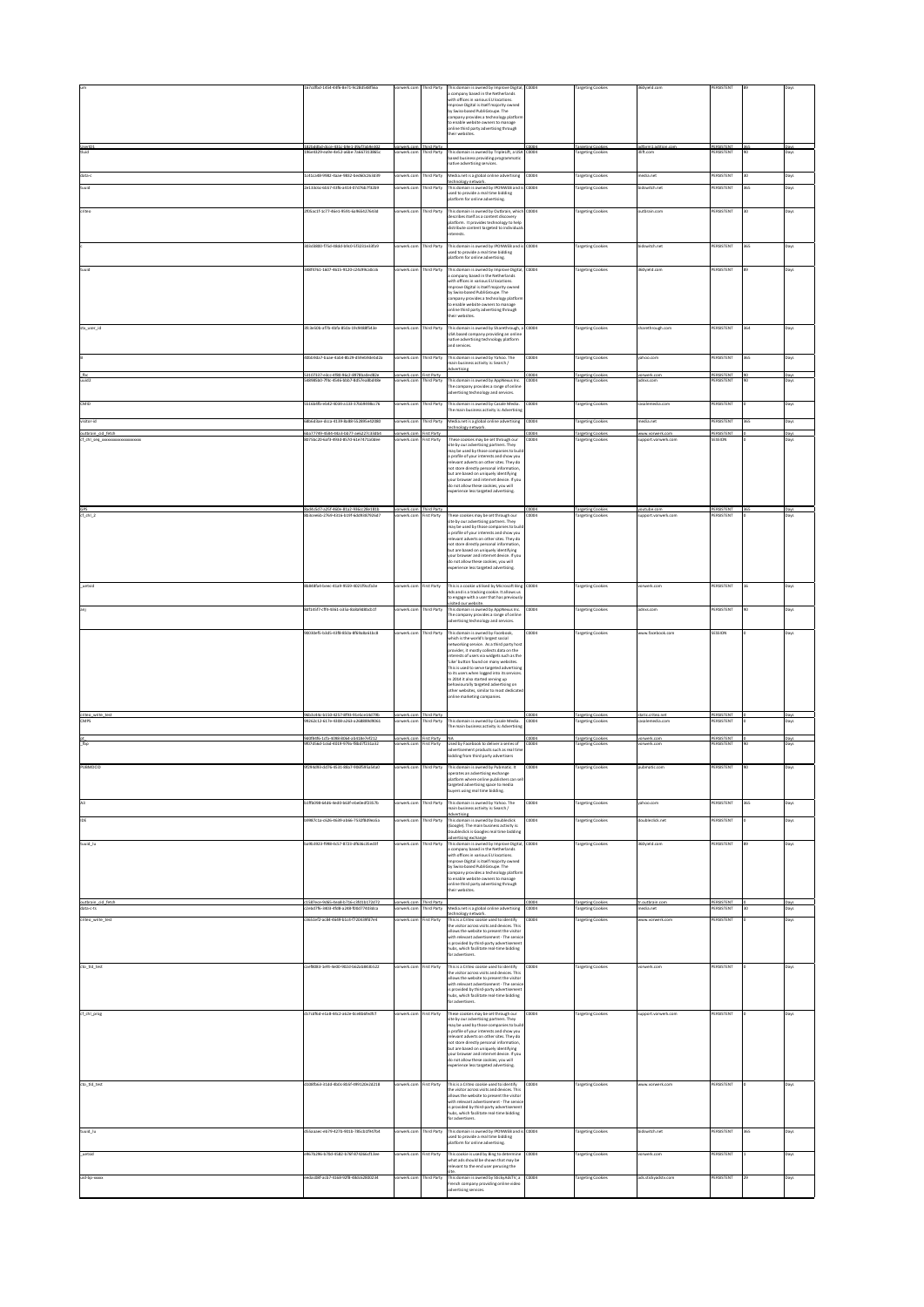|                                       | 67cdfbd-1454-44f6-8e71-9c28d548f56a                                         | werk.co                              | hird Party                  | This domain is owned by Improve Digital<br>a company based in the Netherlands<br>with offices in various EU locations.<br>mprove Digital is itself majority owned                                                                                                                                                                                                                                                                                                        | 0004          | argeting Cookies                                     | 60yield.com                         | ERSISTENT                      |     |              |
|---------------------------------------|-----------------------------------------------------------------------------|--------------------------------------|-----------------------------|--------------------------------------------------------------------------------------------------------------------------------------------------------------------------------------------------------------------------------------------------------------------------------------------------------------------------------------------------------------------------------------------------------------------------------------------------------------------------|---------------|------------------------------------------------------|-------------------------------------|--------------------------------|-----|--------------|
|                                       |                                                                             |                                      |                             | by Swiss-based PubliGroupe. The<br>ompany provides a technology platform<br>to enable website owners to manage<br>mline third party advertising through<br>heir websites.                                                                                                                                                                                                                                                                                                |               |                                                      |                                     |                                |     |              |
| UserID1<br>tluid                      | 182bddbd-dcce-431c-b9e1-39af7ab9e302<br>96e4329-ea9e-4e52-a6be-7a667313865c | vorwerk.com Third Party<br>prwerk.co | hird Party                  | This domain is owned by TripleLift, a USA<br>based business providing programmati                                                                                                                                                                                                                                                                                                                                                                                        | 0004<br>0004  | <b>Targeting Cookies</b><br>argeting Cookies         | adfarm1.adition<br>3lift.com        | PERSISTENT<br><b>ERSISTENT</b> | 365 | Days<br>Jays |
| data-c                                | 1c41ca48-9982-4aae-9832-bed60c263d39                                        | orwerk.co                            | hird Party                  | ative advertising services.<br>Media.net is a global online advertising                                                                                                                                                                                                                                                                                                                                                                                                  | 0004          |                                                      | media.net                           | PERSISTENT                     |     | Days         |
| tuuid                                 | 2e133c6c-6b57-43f6-a414-07d76b7f32b9                                        | orwerk.co                            | <b>hird Party</b>           | technology network.<br>This domain is owned by IPONWEB and is                                                                                                                                                                                                                                                                                                                                                                                                            | 0004          | <b>Targeting Cookies</b><br><b>Targeting Cookies</b> | bidswitch.net                       | PERSISTENT                     | 365 | Days         |
|                                       |                                                                             |                                      |                             | used to provide a real time bidding<br>slatform for online advertising.                                                                                                                                                                                                                                                                                                                                                                                                  |               |                                                      |                                     |                                |     |              |
| riteo                                 | 2f05ac1f-1c77-46e1-9591-6a965427643d                                        | orwerk.cor                           | hird Party                  | This domain is owned by Outbrain, which<br>describes itself as a content discovery<br>platform. It provides technology to help<br>distribute content targeted to individual<br>nterests.                                                                                                                                                                                                                                                                                 | 0004          | <b>Targeting Cookies</b>                             | outbrain.com                        | PERSISTENT                     | 30  | Days         |
|                                       | 03d3800 f75d 48dd b9c0 5f3231e33fa9                                         | prwerk.cor                           | hird Party                  | This domain is owned by IPONWEB and is<br>sed to provide a real time hidding<br>slatform for online advertising.                                                                                                                                                                                                                                                                                                                                                         | 0004          | argeting Cookies                                     | idswitch.net                        | ERSISTENT                      | 855 | Days         |
| uid                                   | 48f4761-1607-4615-9120-c24c99ca0cc6                                         | rwerk.cor                            | <b>Nird Party</b>           | This domain is owned by Improve Digital,<br>company based in the Netherlands<br>with offices in various EU locations.<br>mprove Digital is itself majority owned                                                                                                                                                                                                                                                                                                         | 0004          | argeting Cookies                                     | 60yield.com                         | ERSISTENT                      |     | Days         |
|                                       |                                                                             |                                      |                             | by Swiss-based PubliGroupe. The<br>company provides a technology platfor<br>to enable website owners to manage<br>mline third party advertising through<br>heir websites.                                                                                                                                                                                                                                                                                                |               |                                                      |                                     |                                |     |              |
| stx user id                           | 3fc3e50b-af7b-4bfa-850a-19c9488f543e                                        | vorwerk.com                          | hird Party                  | This domain is owned by Sharethrough, a C0004<br>USA based company providing an online<br>native advertising technology platform<br>and services.                                                                                                                                                                                                                                                                                                                        |               | <b>Targeting Cookies</b>                             | sharethrough.com                    | PERSISTENT                     | 364 | Days         |
|                                       | 0bb9da7-baae-4ab4-8b29-d59eb9debd2a                                         | orwerk.co                            | <b>hird Party</b>           | This domain is owned by Yahoo. The<br>main business activity is: Search /                                                                                                                                                                                                                                                                                                                                                                                                | 10004         | <b>Targeting Cookies</b>                             | yahoo.com                           | <b>ERSISTENT</b>               | 365 | Days         |
| fbc<br>uuid2                          | 53107337-e3cc-4f80-96c2-8978ba0ed82e<br>48985b0-7f4c-4546-bbb7-8d57ea8bd48e | vorwerk.co<br>orwerk.co              | irst Party<br>hird Party    | dvertising<br>This domain is owned by AppNexus Inc.                                                                                                                                                                                                                                                                                                                                                                                                                      | 0004<br>0004  | <b>Targeting Cookies</b><br>argeting Cookies         | vorwerk.cor<br>adnxs.com            | PERSISTENT<br><b>ERSISTENT</b> |     | Days<br>Jays |
|                                       |                                                                             |                                      |                             | The company provides a range of online<br>dvertising technology and services.                                                                                                                                                                                                                                                                                                                                                                                            |               |                                                      |                                     |                                |     |              |
| CMID                                  | 5516b4fb-eb42-4034-a133-37bb9498cc76                                        | prwerk.co                            | <b>hird Party</b>           | This domain is owned by Casale Media.<br>The main business activity is: Advertisin                                                                                                                                                                                                                                                                                                                                                                                       | 0004          | <b>Targeting Cookies</b>                             | rasalemedia com                     | PERSISTENT                     |     | Days         |
| visitor-id                            | 8b6d3ae-dcca-4139-8a88-552895e42080                                         | prwerk.cor                           | hird Party                  | Media.net is a global online advertising<br>echnology network                                                                                                                                                                                                                                                                                                                                                                                                            | 0004          | <b>Targeting Cookies</b>                             | nedia.net                           | PERSISTENT                     |     | Days         |
| outbrain cid fetch<br>cf_chl_seq_xxxx | 6ba77749-4584-44a3-bb77-ae6227c33db4<br>175hr20.6af3.493d.857d.61e7471a0c   | rwerk.com                            | rst Party<br>rst Party      | These cookies may be set through ou<br>site by our advertising partners. They                                                                                                                                                                                                                                                                                                                                                                                            | 0004<br>0004  | <b>Targeting Cookies</b><br>argeting Cookie          | www.vorwerk.com                     | PERSISTENT<br><b>ESSION</b>    |     | Days<br>Jays |
|                                       |                                                                             |                                      |                             | may be used by those companies to bu<br>a profile of your interests and show you<br>elevant adverts on other sites. They do<br>not store directly personal information,<br>but are based on uniquely identifying<br>your browser and internet device. If you<br>to not allow these cookies, you will<br>sperience less targeted advertising.                                                                                                                             |               |                                                      |                                     |                                |     |              |
| cf_chl_2                              | 8ad4c5d7-a25f-460e-81a2-936cc28e181t<br>b3cee6b-2769-4316-b19f-6dd9387926d7 | vorwerk.com Third Party<br>orwerk.co | rst Party                   | These cookies may be set through o                                                                                                                                                                                                                                                                                                                                                                                                                                       | :0004<br>0004 | <b>Targeting Cookies</b><br>argeting Cookies         | youtube.cor<br>upport.vorwerk.com   | <b>ERSISTENT</b>               |     | Days<br>lays |
|                                       |                                                                             |                                      |                             | site by our advertising partners. They<br>may be used by those companies to buil<br>a profile of your interests and show you<br>elevant adverts on other sites. They do<br>not store directly personal information,<br>but are based on uniquely identifying<br>your browser and internet device. If you<br>do not allow these cookies, you will<br>experience less targeted advertising.                                                                                |               |                                                      |                                     |                                |     |              |
| uetvid                                | b848fa4-beec-41a9-9559-4021f9ccfa3e                                         | rwerk.co                             | irst Party                  | This is a cookie utilised by Microsoft Bing                                                                                                                                                                                                                                                                                                                                                                                                                              | 0004          | argeting Cookies                                     | orwerk.com                          | ERSISTENT                      |     | lays         |
|                                       | df145f7-cff4-4361-a35a-8a8a9d8bcb1f                                         | rwerk.co                             | hird Party                  | Ads and is a tracking cookie. It allows us<br>to engage with a user that has previously<br>isited our website.<br>This domain is owned by AppNexus Inc.                                                                                                                                                                                                                                                                                                                  | 0004          |                                                      |                                     | <b>ERSISTENT</b>               |     |              |
|                                       | 0030ef5-b3d5-43f8-850a-8f69a8a61bc8                                         | rwerk.co                             | hird Party                  | The company provides a range of onlin<br>advertising technology and services.<br>This domain is owned by Facebook,                                                                                                                                                                                                                                                                                                                                                       | 0004          | argeting Cookies<br>argeting Cookies                 | dnxs.com<br>ww.facebook.com         | ESSION                         |     | Days<br>Days |
|                                       |                                                                             |                                      |                             | which is the world's largest social<br>networking service. As a third party host<br>provider, it mostly collects data on the<br>nterests of users via widgets such as the<br>'Like' button found on many websites.<br>This is used to serve targeted advertising<br>to its users when logged into its services.<br>in 2014 it also started serving up<br>behaviourally targeted advertising on<br>other websites, similar to most dedicate<br>aline marketing companies. |               |                                                      |                                     |                                |     |              |
| criteo write tes<br>CMPS              | 96b3c44c-b150-4257-8f93-91e5ce14d79b<br>9262c12-617e-4308-a263-a268889d9061 | vorwerk.cor<br>orwerk.co             | n Third Party<br>hird Party | This domain is owned by Casale Media.<br>The main business activity is: Advertisin                                                                                                                                                                                                                                                                                                                                                                                       | 0004<br>0004  | <b>Targeting Cookie</b><br>argeting Cookies          | static.criteo.net<br>asalemedia.com | PERSISTEN<br><b>ERSISTENT</b>  |     | Days<br>Jays |
|                                       | 9d0f84f6-1cfa-4098-8064-ab418e7ef212                                        | vorwerk.com First Party              |                             |                                                                                                                                                                                                                                                                                                                                                                                                                                                                          | 0004          | <b>Targeting Cookies</b>                             | vorwerk.com                         | PERSISTENT                     |     | Days         |
| fbp                                   | f07d56d-1c6d-4019-979a-f8bd7f231a32                                         | rwerk.cor                            | irst Party                  | Used by Facebook to deliver a series of<br>advertisement products such as real tim<br>sidding from third party advertisers                                                                                                                                                                                                                                                                                                                                               | 0004          | argeting Cookies                                     | rwerk.com                           | <b>ERSISTENT</b>               |     | Jays         |
| PUBMDCID                              | 9f294d93-dd76-4531-88a7-906f595a54a0                                        | vorwerk.com                          | hird Party                  | This domain is owned by Pubmatic. It<br>operates an advertising exchange<br>slatform where online publishers can<br>targeted advertising space to media                                                                                                                                                                                                                                                                                                                  | 0004          | <b>Targeting Cookies</b>                             | pubmatic.com                        | PERSISTENT                     |     | Days         |
|                                       | 1ffb098-64d6-4ed0-b63f-ebe0edf2357b                                         | rwerk.co                             | hird Party                  | uyers using real time bidding.<br>This domain is owned by Yahoo. The<br>nain business activity is: Search /                                                                                                                                                                                                                                                                                                                                                              | 0004          | <b>Targeting Cookies</b>                             | ahoo.com                            | <b>ERSISTENT</b>               |     | Days         |
| IDE                                   | C2coPhR1525-264c-PF34c-PF31-C1-1984                                         | orwerk.com                           | hird Party                  | This domain is owned by Doubleclick<br>Google). The main business activity is:<br>Doubleclick is Googles real time bidding                                                                                                                                                                                                                                                                                                                                               | 0004          | <b>Targeting Cookies</b>                             | doubledick.net                      | PERSISTENT                     |     | Days         |
| uuid lu                               | ba9b3923-f998-4c57-8723-df636c35ed3f                                        | orwerk.cor                           | hird Party                  | advertising exchange<br>This domain is owned by Improve Digital.<br>a company based in the Netherlands<br>with offices in various FII Incations<br>Improve Digital is itself majority owned<br>by Swiss-based PubliGroupe. The<br>company provides a technology platfo<br>to enable website owners to manage<br>nline third party advertising through<br>their websites.                                                                                                 | 0004          | <b>Targeting Cookies</b>                             | 360vield.com                        | PERSISTENT                     |     | Days         |
| outbrain cid feto<br>data-c-ts        | 1587ece-9d65-4ea8-b716-c3fd1b172d72<br>2ebd7f6-3403-4fd8-a248-f00d77403dca  | orwerk.com                           | Third Part<br>hird Party    | Media.net is a global online advertising                                                                                                                                                                                                                                                                                                                                                                                                                                 | 0004          | Targeting Cor<br><b>Targeting Cookies</b>            | tedia.net                           | PERSISTENT<br>PERSISTENT       |     | Days         |
| criteo write test                     | 3651ef2-ac84-4649-b1c4-f720439fd7e4                                         | rorwerk.com                          | irst Party                  | echnology network.<br>This is a Criteo cookie used to identify<br>the visitor across visits and devices. This<br>allows the website to present the visitor<br>with relevant advertisement - The service<br>is provided by third-party advertisement<br>hubs which facilitate real time hidding<br>for advertisers.                                                                                                                                                       | 0004          | <b>Targeting Cookies</b>                             | www.vorwerk.com                     | PERSISTENT                     |     | Days         |
| cto_tid_test                          | aef8083-1ef4-4e00-902d-b62ab843b522                                         | prwerk.com                           | irst Party                  | This is a Criteo cookie used to identify<br>the visitor across visits and devices. This<br>allows the website to present the visitor<br>with relevant advertisement - The servic<br>is provided by third-party advertisement<br>ubs, which facilitate real-time bidding<br>for advertisers.                                                                                                                                                                              | 0004          | <b>Targeting Cookies</b>                             | vorwerk.com                         | PERSISTENT                     |     | Days         |
| cf_chi_prog                           | cb7cdf6d-e1a8-44c2-a62e-0ce8b6fedfcf                                        | orwerk.com                           | irst Party                  | These cookies may be set through our<br>site by our advertising partners. They<br>may be used by those companies to buil<br>a profile of your interests and show you<br>elevant adverts on other sites. They do<br>not store directly personal information,<br>but are based on uniquely identifying<br>your browser and internet device. If you<br>do not allow these cookies, you will<br>sperience less targeted advertising.                                         | 10004         | <b>Targeting Cookies</b>                             | support.vorwerk.com                 | PERSISTENT                     |     | Days         |
| cto_tid_test                          | d108fb63-31dd-4b0c-8b5f-499120e2d218                                        | vorwerk.com                          | irst Party                  | This is a Criteo cookie used to identify<br>the visitor across visits and devices. This<br>illows the website to present the visitor<br>with relevant advertisement - The servic<br>s provided by third-party advertiseme<br>hubs, which facilitate real-time bidding<br>for advertisers.                                                                                                                                                                                | 0004          | <b>Targeting Cookies</b>                             | www.vorwerk.com                     | PERSISTENT                     |     | Days         |
| iuid_lu                               | 55aaaec-eb79-427b-901b-785cb1f947b4                                         | rwerk.co                             | hird Party                  | This domain is owned by IPONWEB and is<br>used to provide a real time bidding                                                                                                                                                                                                                                                                                                                                                                                            | 0004          | argeting Cookies                                     | idswitch.net                        | ERSISTENT                      |     | Days         |
| uetsid                                | 967b296-b70d-4582-b76f-874266cf13ee                                         | werk.co                              | irst Party                  | slatform for online advertising.<br>This cookie is used by Bing to determine<br>what ads should be shown that may be                                                                                                                                                                                                                                                                                                                                                     | 0004          | argeting Cookies                                     | orwerk.com                          | ERSISTENT                      |     | Days         |
| uid-bp-xxxxx                          | edac08f-acb7-4168-92f8-48dc62800234                                         | rwerk.co                             | hird Party                  | levant to the end user perusing the<br>This domain is owned by StickyAdsTV, a                                                                                                                                                                                                                                                                                                                                                                                            | 0004          | argeting Cookies                                     | ads.stickyadstv.com                 | <b>ERSISTENT</b>               |     | Days         |
|                                       |                                                                             |                                      |                             | French company providing online video<br>advertising services.                                                                                                                                                                                                                                                                                                                                                                                                           |               |                                                      |                                     |                                |     |              |